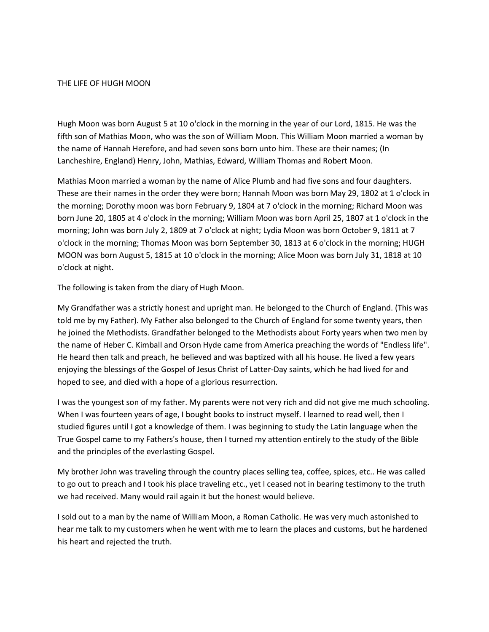## THE LIFE OF HUGH MOON

Hugh Moon was born August 5 at 10 o'clock in the morning in the year of our Lord, 1815. He was the fifth son of Mathias Moon, who was the son of William Moon. This William Moon married a woman by the name of Hannah Herefore, and had seven sons born unto him. These are their names; (In Lancheshire, England) Henry, John, Mathias, Edward, William Thomas and Robert Moon.

Mathias Moon married a woman by the name of Alice Plumb and had five sons and four daughters. These are their names in the order they were born; Hannah Moon was born May 29, 1802 at 1 o'clock in the morning; Dorothy moon was born February 9, 1804 at 7 o'clock in the morning; Richard Moon was born June 20, 1805 at 4 o'clock in the morning; William Moon was born April 25, 1807 at 1 o'clock in the morning; John was born July 2, 1809 at 7 o'clock at night; Lydia Moon was born October 9, 1811 at 7 o'clock in the morning; Thomas Moon was born September 30, 1813 at 6 o'clock in the morning; HUGH MOON was born August 5, 1815 at 10 o'clock in the morning; Alice Moon was born July 31, 1818 at 10 o'clock at night.

The following is taken from the diary of Hugh Moon.

My Grandfather was a strictly honest and upright man. He belonged to the Church of England. (This was told me by my Father). My Father also belonged to the Church of England for some twenty years, then he joined the Methodists. Grandfather belonged to the Methodists about Forty years when two men by the name of Heber C. Kimball and Orson Hyde came from America preaching the words of "Endless life". He heard then talk and preach, he believed and was baptized with all his house. He lived a few years enjoying the blessings of the Gospel of Jesus Christ of Latter-Day saints, which he had lived for and hoped to see, and died with a hope of a glorious resurrection.

I was the youngest son of my father. My parents were not very rich and did not give me much schooling. When I was fourteen years of age, I bought books to instruct myself. I learned to read well, then I studied figures until I got a knowledge of them. I was beginning to study the Latin language when the True Gospel came to my Fathers's house, then I turned my attention entirely to the study of the Bible and the principles of the everlasting Gospel.

My brother John was traveling through the country places selling tea, coffee, spices, etc.. He was called to go out to preach and I took his place traveling etc., yet I ceased not in bearing testimony to the truth we had received. Many would rail again it but the honest would believe.

I sold out to a man by the name of William Moon, a Roman Catholic. He was very much astonished to hear me talk to my customers when he went with me to learn the places and customs, but he hardened his heart and rejected the truth.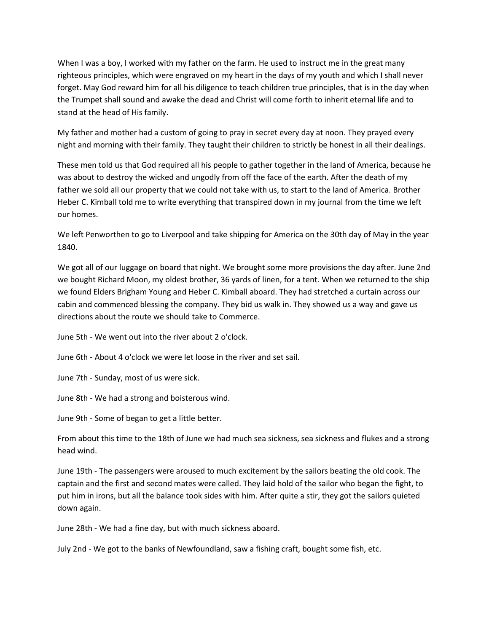When I was a boy, I worked with my father on the farm. He used to instruct me in the great many righteous principles, which were engraved on my heart in the days of my youth and which I shall never forget. May God reward him for all his diligence to teach children true principles, that is in the day when the Trumpet shall sound and awake the dead and Christ will come forth to inherit eternal life and to stand at the head of His family.

My father and mother had a custom of going to pray in secret every day at noon. They prayed every night and morning with their family. They taught their children to strictly be honest in all their dealings.

These men told us that God required all his people to gather together in the land of America, because he was about to destroy the wicked and ungodly from off the face of the earth. After the death of my father we sold all our property that we could not take with us, to start to the land of America. Brother Heber C. Kimball told me to write everything that transpired down in my journal from the time we left our homes.

We left Penworthen to go to Liverpool and take shipping for America on the 30th day of May in the year 1840.

We got all of our luggage on board that night. We brought some more provisions the day after. June 2nd we bought Richard Moon, my oldest brother, 36 yards of linen, for a tent. When we returned to the ship we found Elders Brigham Young and Heber C. Kimball aboard. They had stretched a curtain across our cabin and commenced blessing the company. They bid us walk in. They showed us a way and gave us directions about the route we should take to Commerce.

June 5th - We went out into the river about 2 o'clock.

June 6th - About 4 o'clock we were let loose in the river and set sail.

June 7th - Sunday, most of us were sick.

June 8th - We had a strong and boisterous wind.

June 9th - Some of began to get a little better.

From about this time to the 18th of June we had much sea sickness, sea sickness and flukes and a strong head wind.

June 19th - The passengers were aroused to much excitement by the sailors beating the old cook. The captain and the first and second mates were called. They laid hold of the sailor who began the fight, to put him in irons, but all the balance took sides with him. After quite a stir, they got the sailors quieted down again.

June 28th - We had a fine day, but with much sickness aboard.

July 2nd - We got to the banks of Newfoundland, saw a fishing craft, bought some fish, etc.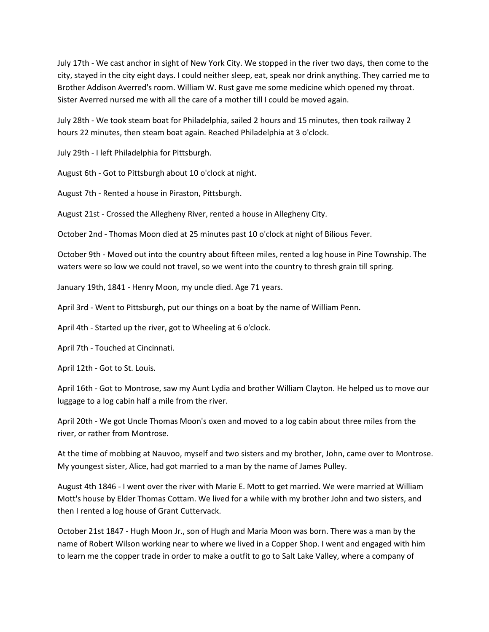July 17th - We cast anchor in sight of New York City. We stopped in the river two days, then come to the city, stayed in the city eight days. I could neither sleep, eat, speak nor drink anything. They carried me to Brother Addison Averred's room. William W. Rust gave me some medicine which opened my throat. Sister Averred nursed me with all the care of a mother till I could be moved again.

July 28th - We took steam boat for Philadelphia, sailed 2 hours and 15 minutes, then took railway 2 hours 22 minutes, then steam boat again. Reached Philadelphia at 3 o'clock.

July 29th - I left Philadelphia for Pittsburgh.

August 6th - Got to Pittsburgh about 10 o'clock at night.

August 7th - Rented a house in Piraston, Pittsburgh.

August 21st - Crossed the Allegheny River, rented a house in Allegheny City.

October 2nd - Thomas Moon died at 25 minutes past 10 o'clock at night of Bilious Fever.

October 9th - Moved out into the country about fifteen miles, rented a log house in Pine Township. The waters were so low we could not travel, so we went into the country to thresh grain till spring.

January 19th, 1841 - Henry Moon, my uncle died. Age 71 years.

April 3rd - Went to Pittsburgh, put our things on a boat by the name of William Penn.

April 4th - Started up the river, got to Wheeling at 6 o'clock.

April 7th - Touched at Cincinnati.

April 12th - Got to St. Louis.

April 16th - Got to Montrose, saw my Aunt Lydia and brother William Clayton. He helped us to move our luggage to a log cabin half a mile from the river.

April 20th - We got Uncle Thomas Moon's oxen and moved to a log cabin about three miles from the river, or rather from Montrose.

At the time of mobbing at Nauvoo, myself and two sisters and my brother, John, came over to Montrose. My youngest sister, Alice, had got married to a man by the name of James Pulley.

August 4th 1846 - I went over the river with Marie E. Mott to get married. We were married at William Mott's house by Elder Thomas Cottam. We lived for a while with my brother John and two sisters, and then I rented a log house of Grant Cuttervack.

October 21st 1847 - Hugh Moon Jr., son of Hugh and Maria Moon was born. There was a man by the name of Robert Wilson working near to where we lived in a Copper Shop. I went and engaged with him to learn me the copper trade in order to make a outfit to go to Salt Lake Valley, where a company of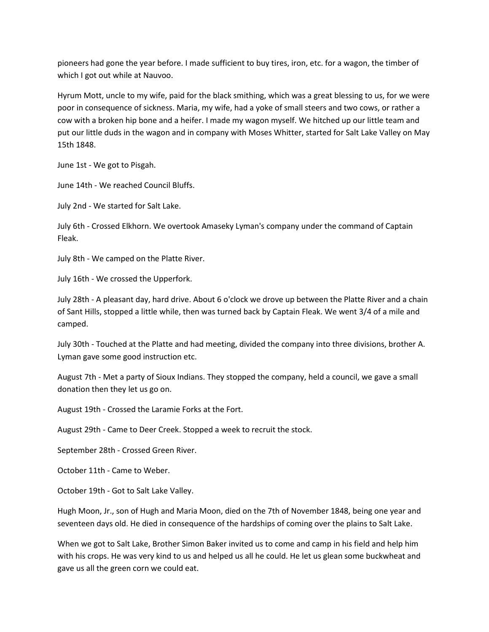pioneers had gone the year before. I made sufficient to buy tires, iron, etc. for a wagon, the timber of which I got out while at Nauvoo.

Hyrum Mott, uncle to my wife, paid for the black smithing, which was a great blessing to us, for we were poor in consequence of sickness. Maria, my wife, had a yoke of small steers and two cows, or rather a cow with a broken hip bone and a heifer. I made my wagon myself. We hitched up our little team and put our little duds in the wagon and in company with Moses Whitter, started for Salt Lake Valley on May 15th 1848.

June 1st - We got to Pisgah.

June 14th - We reached Council Bluffs.

July 2nd - We started for Salt Lake.

July 6th - Crossed Elkhorn. We overtook Amaseky Lyman's company under the command of Captain Fleak.

July 8th - We camped on the Platte River.

July 16th - We crossed the Upperfork.

July 28th - A pleasant day, hard drive. About 6 o'clock we drove up between the Platte River and a chain of Sant Hills, stopped a little while, then was turned back by Captain Fleak. We went 3/4 of a mile and camped.

July 30th - Touched at the Platte and had meeting, divided the company into three divisions, brother A. Lyman gave some good instruction etc.

August 7th - Met a party of Sioux Indians. They stopped the company, held a council, we gave a small donation then they let us go on.

August 19th - Crossed the Laramie Forks at the Fort.

August 29th - Came to Deer Creek. Stopped a week to recruit the stock.

September 28th - Crossed Green River.

October 11th - Came to Weber.

October 19th - Got to Salt Lake Valley.

Hugh Moon, Jr., son of Hugh and Maria Moon, died on the 7th of November 1848, being one year and seventeen days old. He died in consequence of the hardships of coming over the plains to Salt Lake.

When we got to Salt Lake, Brother Simon Baker invited us to come and camp in his field and help him with his crops. He was very kind to us and helped us all he could. He let us glean some buckwheat and gave us all the green corn we could eat.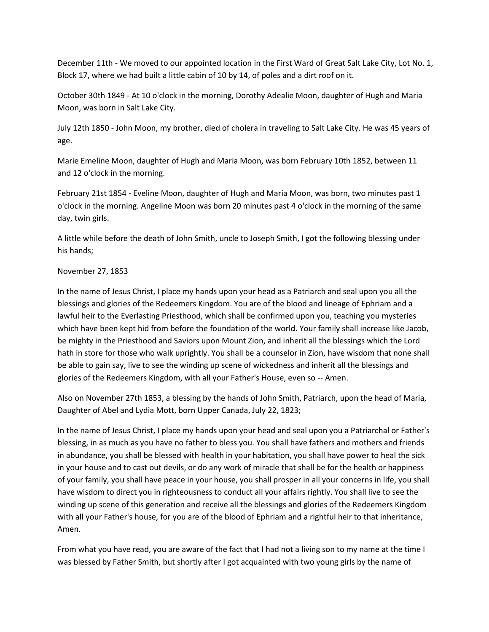December 11th - We moved to our appointed location in the First Ward of Great Salt Lake City, Lot No. 1, Block 17, where we had built a little cabin of 10 by 14, of poles and a dirt roof on it.

October 30th 1849 - At 10 o'clock in the morning, Dorothy Adealie Moon, daughter of Hugh and Maria Moon, was born in Salt Lake City.

July 12th 1850 - John Moon, my brother, died of cholera in traveling to Salt Lake City. He was 45 years of age.

Marie Emeline Moon, daughter of Hugh and Maria Moon, was born February 10th 1852, between 11 and 12 o'clock in the morning.

February 21st 1854 - Eveline Moon, daughter of Hugh and Maria Moon, was born, two minutes past 1 o'clock in the morning. Angeline Moon was born 20 minutes past 4 o'clock in the morning of the same day, twin girls.

A little while before the death of John Smith, uncle to Joseph Smith, I got the following blessing under his hands;

## November 27, 1853

In the name of Jesus Christ, I place my hands upon your head as a Patriarch and seal upon you all the blessings and glories of the Redeemers Kingdom. You are of the blood and lineage of Ephriam and a lawful heir to the Everlasting Priesthood, which shall be confirmed upon you, teaching you mysteries which have been kept hid from before the foundation of the world. Your family shall increase like Jacob, be mighty in the Priesthood and Saviors upon Mount Zion, and inherit all the blessings which the Lord hath in store for those who walk uprightly. You shall be a counselor in Zion, have wisdom that none shall be able to gain say, live to see the winding up scene of wickedness and inherit all the blessings and glories of the Redeemers Kingdom, with all your Father's House, even so -- Amen.

Also on November 27th 1853, a blessing by the hands of John Smith, Patriarch, upon the head of Maria, Daughter of Abel and Lydia Mott, born Upper Canada, July 22, 1823;

In the name of Jesus Christ, I place my hands upon your head and seal upon you a Patriarchal or Father's blessing, in as much as you have no father to bless you. You shall have fathers and mothers and friends in abundance, you shall be blessed with health in your habitation, you shall have power to heal the sick in your house and to cast out devils, or do any work of miracle that shall be for the health or happiness of your family, you shall have peace in your house, you shall prosper in all your concerns in life, you shall have wisdom to direct you in righteousness to conduct all your affairs rightly. You shall live to see the winding up scene of this generation and receive all the blessings and glories of the Redeemers Kingdom with all your Father's house, for you are of the blood of Ephriam and a rightful heir to that inheritance, Amen.

From what you have read, you are aware of the fact that I had not a living son to my name at the time I was blessed by Father Smith, but shortly after I got acquainted with two young girls by the name of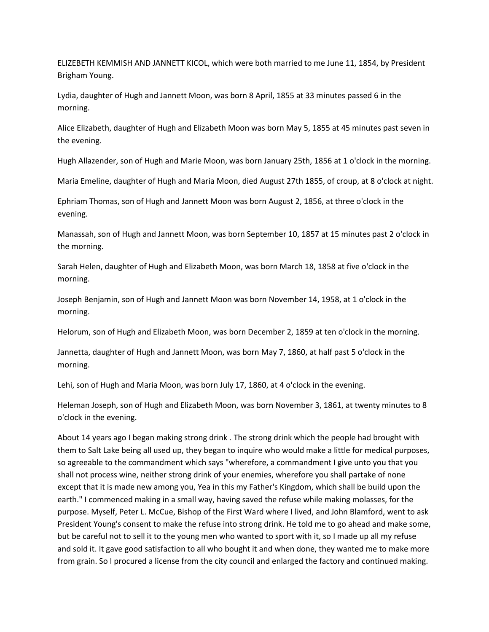ELIZEBETH KEMMISH AND JANNETT KICOL, which were both married to me June 11, 1854, by President Brigham Young.

Lydia, daughter of Hugh and Jannett Moon, was born 8 April, 1855 at 33 minutes passed 6 in the morning.

Alice Elizabeth, daughter of Hugh and Elizabeth Moon was born May 5, 1855 at 45 minutes past seven in the evening.

Hugh Allazender, son of Hugh and Marie Moon, was born January 25th, 1856 at 1 o'clock in the morning.

Maria Emeline, daughter of Hugh and Maria Moon, died August 27th 1855, of croup, at 8 o'clock at night.

Ephriam Thomas, son of Hugh and Jannett Moon was born August 2, 1856, at three o'clock in the evening.

Manassah, son of Hugh and Jannett Moon, was born September 10, 1857 at 15 minutes past 2 o'clock in the morning.

Sarah Helen, daughter of Hugh and Elizabeth Moon, was born March 18, 1858 at five o'clock in the morning.

Joseph Benjamin, son of Hugh and Jannett Moon was born November 14, 1958, at 1 o'clock in the morning.

Helorum, son of Hugh and Elizabeth Moon, was born December 2, 1859 at ten o'clock in the morning.

Jannetta, daughter of Hugh and Jannett Moon, was born May 7, 1860, at half past 5 o'clock in the morning.

Lehi, son of Hugh and Maria Moon, was born July 17, 1860, at 4 o'clock in the evening.

Heleman Joseph, son of Hugh and Elizabeth Moon, was born November 3, 1861, at twenty minutes to 8 o'clock in the evening.

About 14 years ago I began making strong drink . The strong drink which the people had brought with them to Salt Lake being all used up, they began to inquire who would make a little for medical purposes, so agreeable to the commandment which says "wherefore, a commandment I give unto you that you shall not process wine, neither strong drink of your enemies, wherefore you shall partake of none except that it is made new among you, Yea in this my Father's Kingdom, which shall be build upon the earth." I commenced making in a small way, having saved the refuse while making molasses, for the purpose. Myself, Peter L. McCue, Bishop of the First Ward where I lived, and John Blamford, went to ask President Young's consent to make the refuse into strong drink. He told me to go ahead and make some, but be careful not to sell it to the young men who wanted to sport with it, so I made up all my refuse and sold it. It gave good satisfaction to all who bought it and when done, they wanted me to make more from grain. So I procured a license from the city council and enlarged the factory and continued making.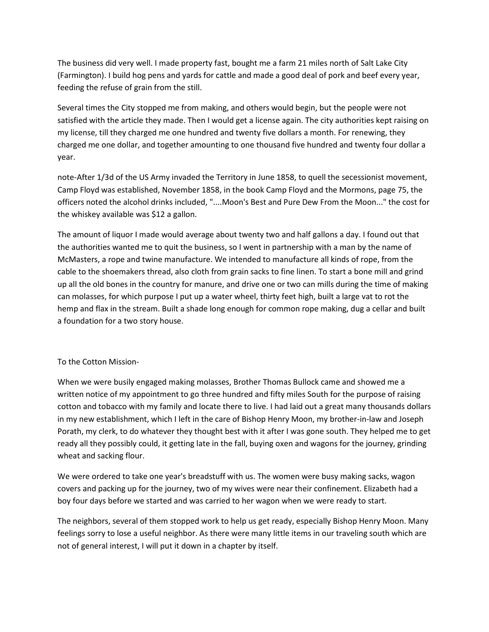The business did very well. I made property fast, bought me a farm 21 miles north of Salt Lake City (Farmington). I build hog pens and yards for cattle and made a good deal of pork and beef every year, feeding the refuse of grain from the still.

Several times the City stopped me from making, and others would begin, but the people were not satisfied with the article they made. Then I would get a license again. The city authorities kept raising on my license, till they charged me one hundred and twenty five dollars a month. For renewing, they charged me one dollar, and together amounting to one thousand five hundred and twenty four dollar a year.

note-After 1/3d of the US Army invaded the Territory in June 1858, to quell the secessionist movement, Camp Floyd was established, November 1858, in the book Camp Floyd and the Mormons, page 75, the officers noted the alcohol drinks included, "....Moon's Best and Pure Dew From the Moon..." the cost for the whiskey available was \$12 a gallon.

The amount of liquor I made would average about twenty two and half gallons a day. I found out that the authorities wanted me to quit the business, so I went in partnership with a man by the name of McMasters, a rope and twine manufacture. We intended to manufacture all kinds of rope, from the cable to the shoemakers thread, also cloth from grain sacks to fine linen. To start a bone mill and grind up all the old bones in the country for manure, and drive one or two can mills during the time of making can molasses, for which purpose I put up a water wheel, thirty feet high, built a large vat to rot the hemp and flax in the stream. Built a shade long enough for common rope making, dug a cellar and built a foundation for a two story house.

## To the Cotton Mission-

When we were busily engaged making molasses, Brother Thomas Bullock came and showed me a written notice of my appointment to go three hundred and fifty miles South for the purpose of raising cotton and tobacco with my family and locate there to live. I had laid out a great many thousands dollars in my new establishment, which I left in the care of Bishop Henry Moon, my brother-in-law and Joseph Porath, my clerk, to do whatever they thought best with it after I was gone south. They helped me to get ready all they possibly could, it getting late in the fall, buying oxen and wagons for the journey, grinding wheat and sacking flour.

We were ordered to take one year's breadstuff with us. The women were busy making sacks, wagon covers and packing up for the journey, two of my wives were near their confinement. Elizabeth had a boy four days before we started and was carried to her wagon when we were ready to start.

The neighbors, several of them stopped work to help us get ready, especially Bishop Henry Moon. Many feelings sorry to lose a useful neighbor. As there were many little items in our traveling south which are not of general interest, I will put it down in a chapter by itself.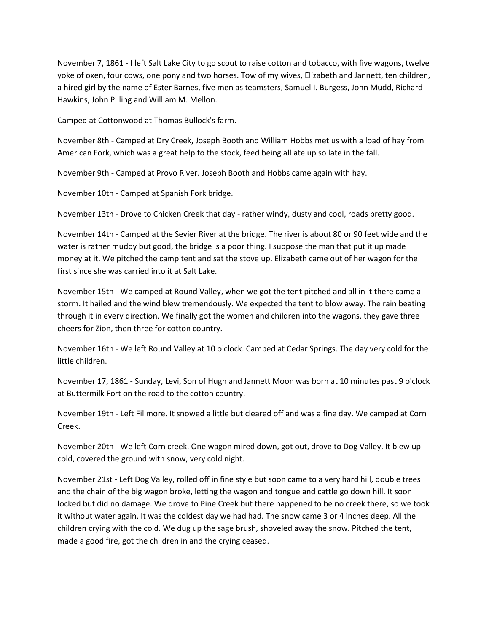November 7, 1861 - I left Salt Lake City to go scout to raise cotton and tobacco, with five wagons, twelve yoke of oxen, four cows, one pony and two horses. Tow of my wives, Elizabeth and Jannett, ten children, a hired girl by the name of Ester Barnes, five men as teamsters, Samuel I. Burgess, John Mudd, Richard Hawkins, John Pilling and William M. Mellon.

Camped at Cottonwood at Thomas Bullock's farm.

November 8th - Camped at Dry Creek, Joseph Booth and William Hobbs met us with a load of hay from American Fork, which was a great help to the stock, feed being all ate up so late in the fall.

November 9th - Camped at Provo River. Joseph Booth and Hobbs came again with hay.

November 10th - Camped at Spanish Fork bridge.

November 13th - Drove to Chicken Creek that day - rather windy, dusty and cool, roads pretty good.

November 14th - Camped at the Sevier River at the bridge. The river is about 80 or 90 feet wide and the water is rather muddy but good, the bridge is a poor thing. I suppose the man that put it up made money at it. We pitched the camp tent and sat the stove up. Elizabeth came out of her wagon for the first since she was carried into it at Salt Lake.

November 15th - We camped at Round Valley, when we got the tent pitched and all in it there came a storm. It hailed and the wind blew tremendously. We expected the tent to blow away. The rain beating through it in every direction. We finally got the women and children into the wagons, they gave three cheers for Zion, then three for cotton country.

November 16th - We left Round Valley at 10 o'clock. Camped at Cedar Springs. The day very cold for the little children.

November 17, 1861 - Sunday, Levi, Son of Hugh and Jannett Moon was born at 10 minutes past 9 o'clock at Buttermilk Fort on the road to the cotton country.

November 19th - Left Fillmore. It snowed a little but cleared off and was a fine day. We camped at Corn Creek.

November 20th - We left Corn creek. One wagon mired down, got out, drove to Dog Valley. It blew up cold, covered the ground with snow, very cold night.

November 21st - Left Dog Valley, rolled off in fine style but soon came to a very hard hill, double trees and the chain of the big wagon broke, letting the wagon and tongue and cattle go down hill. It soon locked but did no damage. We drove to Pine Creek but there happened to be no creek there, so we took it without water again. It was the coldest day we had had. The snow came 3 or 4 inches deep. All the children crying with the cold. We dug up the sage brush, shoveled away the snow. Pitched the tent, made a good fire, got the children in and the crying ceased.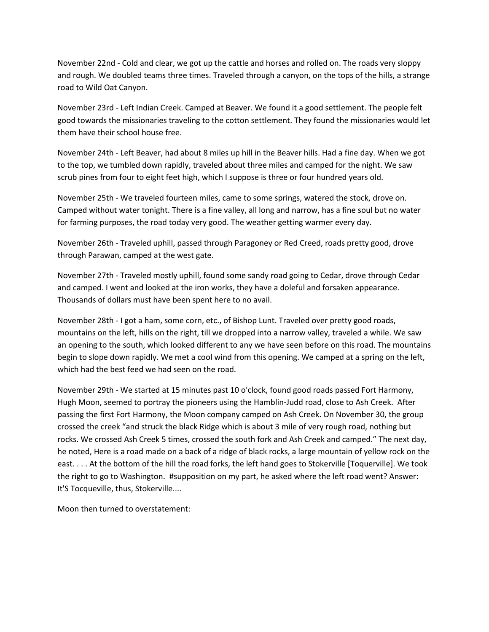November 22nd - Cold and clear, we got up the cattle and horses and rolled on. The roads very sloppy and rough. We doubled teams three times. Traveled through a canyon, on the tops of the hills, a strange road to Wild Oat Canyon.

November 23rd - Left Indian Creek. Camped at Beaver. We found it a good settlement. The people felt good towards the missionaries traveling to the cotton settlement. They found the missionaries would let them have their school house free.

November 24th - Left Beaver, had about 8 miles up hill in the Beaver hills. Had a fine day. When we got to the top, we tumbled down rapidly, traveled about three miles and camped for the night. We saw scrub pines from four to eight feet high, which I suppose is three or four hundred years old.

November 25th - We traveled fourteen miles, came to some springs, watered the stock, drove on. Camped without water tonight. There is a fine valley, all long and narrow, has a fine soul but no water for farming purposes, the road today very good. The weather getting warmer every day.

November 26th - Traveled uphill, passed through Paragoney or Red Creed, roads pretty good, drove through Parawan, camped at the west gate.

November 27th - Traveled mostly uphill, found some sandy road going to Cedar, drove through Cedar and camped. I went and looked at the iron works, they have a doleful and forsaken appearance. Thousands of dollars must have been spent here to no avail.

November 28th - I got a ham, some corn, etc., of Bishop Lunt. Traveled over pretty good roads, mountains on the left, hills on the right, till we dropped into a narrow valley, traveled a while. We saw an opening to the south, which looked different to any we have seen before on this road. The mountains begin to slope down rapidly. We met a cool wind from this opening. We camped at a spring on the left, which had the best feed we had seen on the road.

November 29th - We started at 15 minutes past 10 o'clock, found good roads passed Fort Harmony, Hugh Moon, seemed to portray the pioneers using the Hamblin-Judd road, close to Ash Creek. After passing the first Fort Harmony, the Moon company camped on Ash Creek. On November 30, the group crossed the creek "and struck the black Ridge which is about 3 mile of very rough road, nothing but rocks. We crossed Ash Creek 5 times, crossed the south fork and Ash Creek and camped." The next day, he noted, Here is a road made on a back of a ridge of black rocks, a large mountain of yellow rock on the east. . . . At the bottom of the hill the road forks, the left hand goes to Stokerville [Toquerville]. We took the right to go to Washington. #supposition on my part, he asked where the left road went? Answer: It'S Tocqueville, thus, Stokerville....

Moon then turned to overstatement: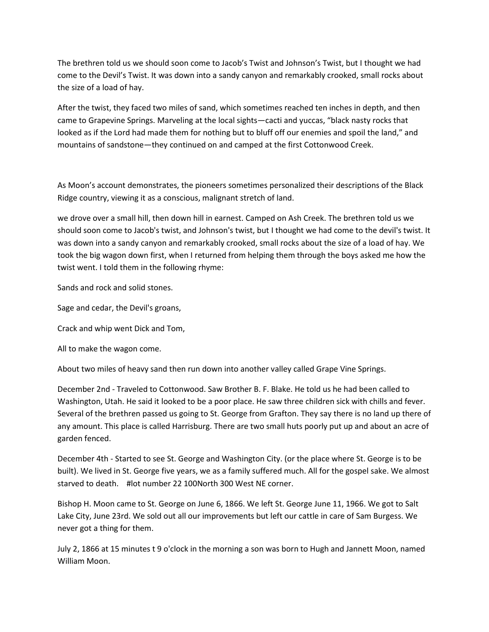The brethren told us we should soon come to Jacob's Twist and Johnson's Twist, but I thought we had come to the Devil's Twist. It was down into a sandy canyon and remarkably crooked, small rocks about the size of a load of hay.

After the twist, they faced two miles of sand, which sometimes reached ten inches in depth, and then came to Grapevine Springs. Marveling at the local sights—cacti and yuccas, "black nasty rocks that looked as if the Lord had made them for nothing but to bluff off our enemies and spoil the land," and mountains of sandstone—they continued on and camped at the first Cottonwood Creek.

As Moon's account demonstrates, the pioneers sometimes personalized their descriptions of the Black Ridge country, viewing it as a conscious, malignant stretch of land.

we drove over a small hill, then down hill in earnest. Camped on Ash Creek. The brethren told us we should soon come to Jacob's twist, and Johnson's twist, but I thought we had come to the devil's twist. It was down into a sandy canyon and remarkably crooked, small rocks about the size of a load of hay. We took the big wagon down first, when I returned from helping them through the boys asked me how the twist went. I told them in the following rhyme:

Sands and rock and solid stones.

Sage and cedar, the Devil's groans,

Crack and whip went Dick and Tom,

All to make the wagon come.

About two miles of heavy sand then run down into another valley called Grape Vine Springs.

December 2nd - Traveled to Cottonwood. Saw Brother B. F. Blake. He told us he had been called to Washington, Utah. He said it looked to be a poor place. He saw three children sick with chills and fever. Several of the brethren passed us going to St. George from Grafton. They say there is no land up there of any amount. This place is called Harrisburg. There are two small huts poorly put up and about an acre of garden fenced.

December 4th - Started to see St. George and Washington City. (or the place where St. George is to be built). We lived in St. George five years, we as a family suffered much. All for the gospel sake. We almost starved to death. #lot number 22 100North 300 West NE corner.

Bishop H. Moon came to St. George on June 6, 1866. We left St. George June 11, 1966. We got to Salt Lake City, June 23rd. We sold out all our improvements but left our cattle in care of Sam Burgess. We never got a thing for them.

July 2, 1866 at 15 minutes t 9 o'clock in the morning a son was born to Hugh and Jannett Moon, named William Moon.